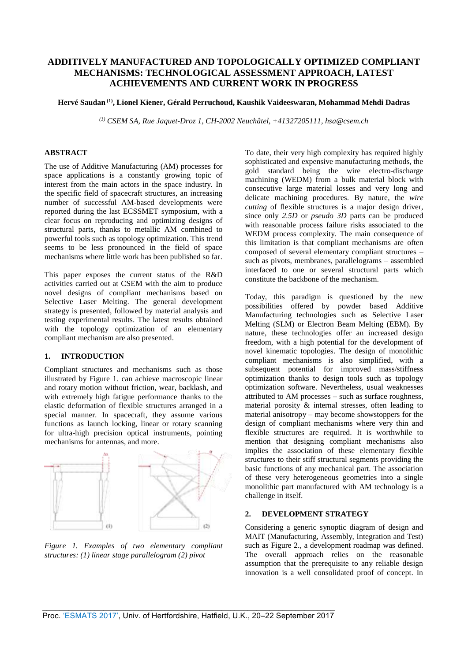# **ADDITIVELY MANUFACTURED AND TOPOLOGICALLY OPTIMIZED COMPLIANT MECHANISMS: TECHNOLOGICAL ASSESSMENT APPROACH, LATEST ACHIEVEMENTS AND CURRENT WORK IN PROGRESS**

## **Hervé Saudan (1) , Lionel Kiener, Gérald Perruchoud, Kaushik Vaideeswaran, Mohammad Mehdi Dadras**

*(1) CSEM SA, Rue Jaquet-Droz 1, CH-2002 Neuchâtel, +41327205111, hsa@csem.ch* 

# **ABSTRACT**

The use of Additive Manufacturing (AM) processes for space applications is a constantly growing topic of interest from the main actors in the space industry. In the specific field of spacecraft structures, an increasing number of successful AM-based developments were reported during the last ECSSMET symposium, with a clear focus on reproducing and optimizing designs of structural parts, thanks to metallic AM combined to powerful tools such as topology optimization. This trend seems to be less pronounced in the field of space mechanisms where little work has been published so far.

This paper exposes the current status of the R&D activities carried out at CSEM with the aim to produce novel designs of compliant mechanisms based on Selective Laser Melting. The general development strategy is presented, followed by material analysis and testing experimental results. The latest results obtained with the topology optimization of an elementary compliant mechanism are also presented.

# **1. INTRODUCTION**

Compliant structures and mechanisms such as those illustrated by Figure 1. can achieve macroscopic linear and rotary motion without friction, wear, backlash, and with extremely high fatigue performance thanks to the elastic deformation of flexible structures arranged in a special manner. In spacecraft, they assume various functions as launch locking, linear or rotary scanning for ultra-high precision optical instruments, pointing mechanisms for antennas, and more.



*Figure 1. Examples of two elementary compliant structures: (1) linear stage parallelogram (2) pivot* 

To date, their very high complexity has required highly sophisticated and expensive manufacturing methods, the gold standard being the wire electro-discharge machining (WEDM) from a bulk material block with consecutive large material losses and very long and delicate machining procedures. By nature, the *wire cutting* of flexible structures is a major design driver, since only *2.5D* or *pseudo 3D* parts can be produced with reasonable process failure risks associated to the WEDM process complexity. The main consequence of this limitation is that compliant mechanisms are often composed of several elementary compliant structures – such as pivots, membranes, parallelograms – assembled interfaced to one or several structural parts which constitute the backbone of the mechanism.

Today, this paradigm is questioned by the new possibilities offered by powder based Additive Manufacturing technologies such as Selective Laser Melting (SLM) or Electron Beam Melting (EBM). By nature, these technologies offer an increased design freedom, with a high potential for the development of novel kinematic topologies. The design of monolithic compliant mechanisms is also simplified, with a subsequent potential for improved mass/stiffness optimization thanks to design tools such as topology optimization software. Nevertheless, usual weaknesses attributed to AM processes – such as surface roughness, material porosity & internal stresses, often leading to material anisotropy – may become showstoppers for the design of compliant mechanisms where very thin and flexible structures are required. It is worthwhile to mention that designing compliant mechanisms also implies the association of these elementary flexible structures to their stiff structural segments providing the basic functions of any mechanical part. The association of these very heterogeneous geometries into a single monolithic part manufactured with AM technology is a challenge in itself.

# **2. DEVELOPMENT STRATEGY**

Considering a generic synoptic diagram of design and MAIT (Manufacturing, Assembly, Integration and Test) such as Figure 2., a development roadmap was defined. The overall approach relies on the reasonable assumption that the prerequisite to any reliable design innovation is a well consolidated proof of concept. In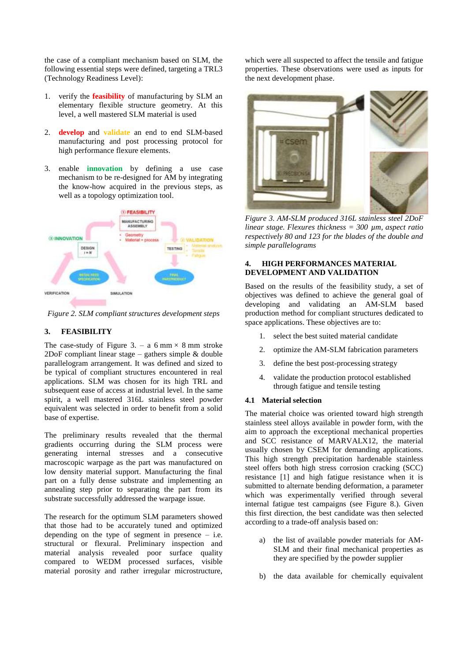the case of a compliant mechanism based on SLM, the following essential steps were defined, targeting a TRL3 (Technology Readiness Level):

- 1. verify the **feasibility** of manufacturing by SLM an elementary flexible structure geometry. At this level, a well mastered SLM material is used
- 2. **develop** and **validate** an end to end SLM-based manufacturing and post processing protocol for high performance flexure elements.
- 3. enable **innovation** by defining a use case mechanism to be re-designed for AM by integrating the know-how acquired in the previous steps, as well as a topology optimization tool.



*Figure 2. SLM compliant structures development steps*

# **3. FEASIBILITY**

The case-study of Figure 3. – a 6 mm  $\times$  8 mm stroke 2DoF compliant linear stage – gathers simple & double parallelogram arrangement. It was defined and sized to be typical of compliant structures encountered in real applications. SLM was chosen for its high TRL and subsequent ease of access at industrial level. In the same spirit, a well mastered 316L stainless steel powder equivalent was selected in order to benefit from a solid base of expertise.

The preliminary results revealed that the thermal gradients occurring during the SLM process were generating internal stresses and a consecutive macroscopic warpage as the part was manufactured on low density material support. Manufacturing the final part on a fully dense substrate and implementing an annealing step prior to separating the part from its substrate successfully addressed the warpage issue.

The research for the optimum SLM parameters showed that those had to be accurately tuned and optimized depending on the type of segment in presence  $-$  i.e. structural or flexural. Preliminary inspection and material analysis revealed poor surface quality compared to WEDM processed surfaces, visible material porosity and rather irregular microstructure, which were all suspected to affect the tensile and fatigue properties. These observations were used as inputs for the next development phase.



*Figure 3. AM-SLM produced 316L stainless steel 2DoF linear stage. Flexures thickness = 300 µm, aspect ratio respectively 80 and 123 for the blades of the double and simple parallelograms*

## **4. HIGH PERFORMANCES MATERIAL DEVELOPMENT AND VALIDATION**

Based on the results of the feasibility study, a set of objectives was defined to achieve the general goal of developing and validating an AM-SLM based production method for compliant structures dedicated to space applications. These objectives are to:

- 1. select the best suited material candidate
- 2. optimize the AM-SLM fabrication parameters
- 3. define the best post-processing strategy
- 4. validate the production protocol established through fatigue and tensile testing

#### **4.1 Material selection**

The material choice was oriented toward high strength stainless steel alloys available in powder form, with the aim to approach the exceptional mechanical properties and SCC resistance of MARVALX12, the material usually chosen by CSEM for demanding applications. This high strength precipitation hardenable stainless steel offers both high stress corrosion cracking (SCC) resistance [1] and high fatigue resistance when it is submitted to alternate bending deformation, a parameter which was experimentally verified through several internal fatigue test campaigns (see Figure 8.). Given this first direction, the best candidate was then selected according to a trade-off analysis based on:

- a) the list of available powder materials for AM-SLM and their final mechanical properties as they are specified by the powder supplier
- b) the data available for chemically equivalent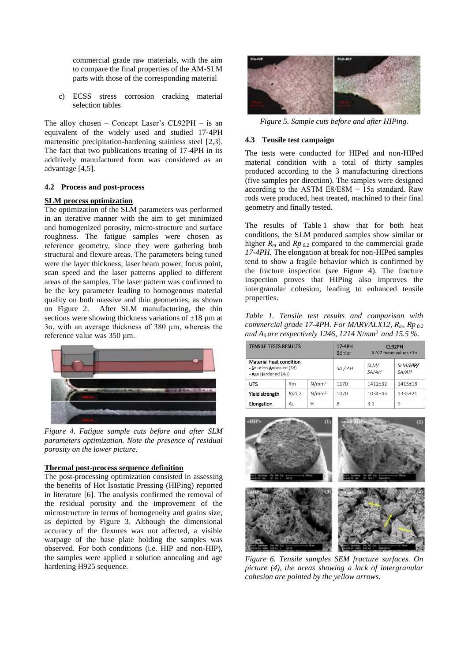commercial grade raw materials, with the aim to compare the final properties of the AM-SLM parts with those of the corresponding material

c) ECSS stress corrosion cracking material selection tables

The alloy chosen – Concept Laser's CL92PH – is an equivalent of the widely used and studied 17‐4PH martensitic precipitation-hardening stainless steel [2,3]. The fact that two publications treating of 17-4PH in its additively manufactured form was considered as an advantage [4,5].

#### **4.2 Process and post-process**

#### **SLM process optimization**

The optimization of the SLM parameters was performed in an iterative manner with the aim to get minimized and homogenized porosity, micro-structure and surface roughness. The fatigue samples were chosen as reference geometry, since they were gathering both structural and flexure areas. The parameters being tuned were the layer thickness, laser beam power, focus point, scan speed and the laser patterns applied to different areas of the samples. The laser pattern was confirmed to be the key parameter leading to homogenous material quality on both massive and thin geometries, as shown on Figure 2. After SLM manufacturing, the thin sections were showing thickness variations of  $\pm 18 \mu$ m at 3σ, with an average thickness of 380 µm, whereas the reference value was 350 µm.



*Figure 4. Fatigue sample cuts before and after SLM parameters optimization. Note the presence of residual porosity on the lower picture.* 

### **Thermal post-process sequence definition**

The post-processing optimization consisted in assessing the benefits of Hot Isostatic Pressing (HIPing) reported in literature [6]. The analysis confirmed the removal of the residual porosity and the improvement of the microstructure in terms of homogeneity and grains size, as depicted by Figure 3. Although the dimensional accuracy of the flexures was not affected, a visible warpage of the base plate holding the samples was observed. For both conditions (i.e. HIP and non-HIP), the samples were applied a solution annealing and age hardening H925 sequence.



*Figure 5. Sample cuts before and after HIPing.*

#### **4.3 Tensile test campaign**

The tests were conducted for HIPed and non-HIPed material condition with a total of thirty samples produced according to the 3 manufacturing directions (five samples per direction). The samples were designed according to the ASTM E8/E8M − 15a standard. Raw rods were produced, heat treated, machined to their final geometry and finally tested.

The results of Table 1 show that for both heat conditions, the SLM produced samples show similar or higher  $R_m$  and  $Rp_{0.2}$  compared to the commercial grade *17-4PH.* The elongation at break for non-HIPed samples tend to show a fragile behavior which is confirmed by the fracture inspection (see Figure 4). The fracture inspection proves that HIPing also improves the intergranular cohesion, leading to enhanced tensile properties.

*Table 1. Tensile test results and comparison with commercial grade 17-4PH. For MARVALX12, Rm, Rp 0.2 and A<sup>5</sup> are respectively 1246, 1214 N/mm<sup>2</sup> and 15.5 %.*

| <b>TENSILE TESTS RESULTS</b>                                               |           |                   | 17-4PH<br><b>Böhler</b> | CL92PH<br>X-Y-Z mean values +1σ |                   |
|----------------------------------------------------------------------------|-----------|-------------------|-------------------------|---------------------------------|-------------------|
| Material heat condition<br>- Solution Annealed (SA)<br>- Age Hardened (AH) |           |                   | SA / AH                 | SLM/<br>SA/AH                   | SLM/HIP/<br>SA/AH |
| UTS                                                                        | <b>Rm</b> | N/mm <sup>2</sup> | 1170                    | $1412+32$                       | $1415+18$         |
| Yield strength                                                             | Rp0.2     | N/mm <sup>2</sup> | 1070                    | $1034 + 43$                     | 1335+21           |
| Elongation                                                                 | A5        | %                 | 8                       | 3.1                             | 9                 |



*Figure 6. Tensile samples SEM fracture surfaces. On picture (4), the areas showing a lack of intergranular cohesion are pointed by the yellow arrows.*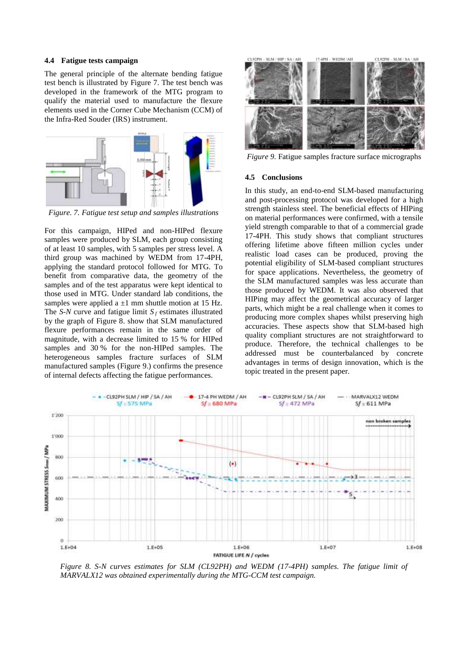### **4.4 Fatigue tests campaign**

The general principle of the alternate bending fatigue test bench is illustrated by Figure 7. The test bench was developed in the framework of the MTG program to qualify the material used to manufacture the flexure elements used in the Corner Cube Mechanism (CCM) of the Infra-Red Souder (IRS) instrument.



*Figure. 7. Fatigue test setup and samples illustrations*

For this campaign, HIPed and non-HIPed flexure samples were produced by SLM, each group consisting of at least 10 samples, with 5 samples per stress level. A third group was machined by WEDM from 17-4PH, applying the standard protocol followed for MTG. To benefit from comparative data, the geometry of the samples and of the test apparatus were kept identical to those used in MTG. Under standard lab conditions, the samples were applied a  $\pm 1$  mm shuttle motion at 15 Hz. The *S-N* curve and fatigue limit  $S_f$  estimates illustrated by the graph of Figure 8. show that SLM manufactured flexure performances remain in the same order of magnitude, with a decrease limited to 15 % for HIPed samples and 30 % for the non-HIPed samples. The heterogeneous samples fracture surfaces of SLM manufactured samples (Figure 9.) confirms the presence of internal defects affecting the fatigue performances.



*Figure 9.* Fatigue samples fracture surface micrographs

#### **4.5 Conclusions**

In this study, an end-to-end SLM-based manufacturing and post-processing protocol was developed for a high strength stainless steel. The beneficial effects of HIPing on material performances were confirmed, with a tensile yield strength comparable to that of a commercial grade 17-4PH. This study shows that compliant structures offering lifetime above fifteen million cycles under realistic load cases can be produced, proving the potential eligibility of SLM-based compliant structures for space applications. Nevertheless, the geometry of the SLM manufactured samples was less accurate than those produced by WEDM. It was also observed that HIPing may affect the geometrical accuracy of larger parts, which might be a real challenge when it comes to producing more complex shapes whilst preserving high accuracies. These aspects show that SLM-based high quality compliant structures are not straightforward to produce. Therefore, the technical challenges to be addressed must be counterbalanced by concrete advantages in terms of design innovation, which is the topic treated in the present paper.



*Figure 8. S-N curves estimates for SLM (CL92PH) and WEDM (17-4PH) samples. The fatigue limit of MARVALX12 was obtained experimentally during the MTG-CCM test campaign.*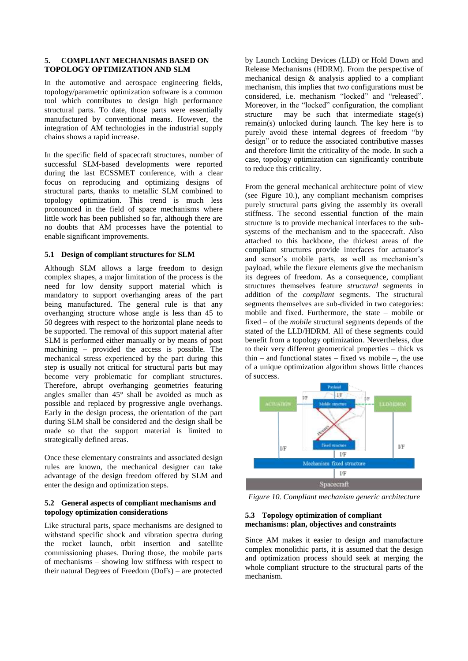### **5. COMPLIANT MECHANISMS BASED ON TOPOLOGY OPTIMIZATION AND SLM**

In the automotive and aerospace engineering fields, topology/parametric optimization software is a common tool which contributes to design high performance structural parts. To date, those parts were essentially manufactured by conventional means. However, the integration of AM technologies in the industrial supply chains shows a rapid increase.

In the specific field of spacecraft structures, number of successful SLM-based developments were reported during the last ECSSMET conference, with a clear focus on reproducing and optimizing designs of structural parts, thanks to metallic SLM combined to topology optimization. This trend is much less pronounced in the field of space mechanisms where little work has been published so far, although there are no doubts that AM processes have the potential to enable significant improvements.

# **5.1 Design of compliant structures for SLM**

Although SLM allows a large freedom to design complex shapes, a major limitation of the process is the need for low density support material which is mandatory to support overhanging areas of the part being manufactured. The general rule is that any overhanging structure whose angle is less than 45 to 50 degrees with respect to the horizontal plane needs to be supported. The removal of this support material after SLM is performed either manually or by means of post machining – provided the access is possible. The mechanical stress experienced by the part during this step is usually not critical for structural parts but may become very problematic for compliant structures. Therefore, abrupt overhanging geometries featuring angles smaller than 45° shall be avoided as much as possible and replaced by progressive angle overhangs. Early in the design process, the orientation of the part during SLM shall be considered and the design shall be made so that the support material is limited to strategically defined areas.

Once these elementary constraints and associated design rules are known, the mechanical designer can take advantage of the design freedom offered by SLM and enter the design and optimization steps.

## **5.2 General aspects of compliant mechanisms and topology optimization considerations**

Like structural parts, space mechanisms are designed to withstand specific shock and vibration spectra during the rocket launch, orbit insertion and satellite commissioning phases. During those, the mobile parts of mechanisms – showing low stiffness with respect to their natural Degrees of Freedom (DoFs) – are protected by Launch Locking Devices (LLD) or Hold Down and Release Mechanisms (HDRM). From the perspective of mechanical design & analysis applied to a compliant mechanism, this implies that *two* configurations must be considered, i.e. mechanism "locked" and "released". Moreover, in the "locked" configuration, the compliant structure may be such that intermediate stage(s) remain(s) unlocked during launch. The key here is to purely avoid these internal degrees of freedom "by design" or to reduce the associated contributive masses and therefore limit the criticality of the mode. In such a case, topology optimization can significantly contribute to reduce this criticality.

From the general mechanical architecture point of view (see Figure 10.), any compliant mechanism comprises purely structural parts giving the assembly its overall stiffness. The second essential function of the main structure is to provide mechanical interfaces to the subsystems of the mechanism and to the spacecraft. Also attached to this backbone, the thickest areas of the compliant structures provide interfaces for actuator's and sensor's mobile parts, as well as mechanism's payload, while the flexure elements give the mechanism its degrees of freedom. As a consequence, compliant structures themselves feature *structural* segments in addition of the *compliant* segments. The structural segments themselves are sub-divided in two categories: mobile and fixed. Furthermore, the state – mobile or fixed – of the *mobile* structural segments depends of the stated of the LLD/HDRM. All of these segments could benefit from a topology optimization. Nevertheless, due to their very different geometrical properties – thick vs thin – and functional states – fixed vs mobile –, the use of a unique optimization algorithm shows little chances of success.



*Figure 10. Compliant mechanism generic architecture*

#### **5.3 Topology optimization of compliant mechanisms: plan, objectives and constraints**

Since AM makes it easier to design and manufacture complex monolithic parts, it is assumed that the design and optimization process should seek at merging the whole compliant structure to the structural parts of the mechanism.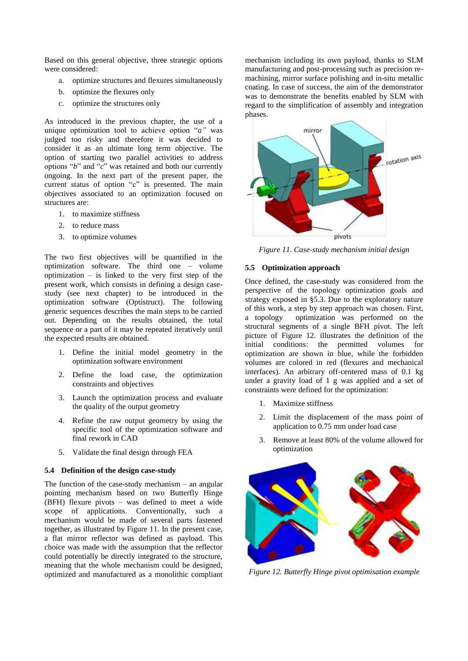Based on this general objective, three strategic options were considered:

- a. optimize structures and flexures simultaneously
- b. optimize the flexures only
- c. optimize the structures only

As introduced in the previous chapter, the use of a unique optimization tool to achieve option "*a"* was judged too risky and therefore it was decided to consider it as an ultimate long term objective. The option of starting two parallel activities to address options "*b*" and "*c*" was retained and both our currently ongoing. In the next part of the present paper, the current status of option "c" is presented. The main objectives associated to an optimization focused on structures are:

- 1. to maximize stiffness
- 2. to reduce mass
- 3. to optimize volumes

The two first objectives will be quantified in the optimization software. The third one – volume optimization – is linked to the very first step of the present work, which consists in defining a design casestudy (see next chapter) to be introduced in the optimization software (Optistruct). The following generic sequences describes the main steps to be carried out. Depending on the results obtained, the total sequence or a part of it may be repeated iteratively until the expected results are obtained.

- 1. Define the initial model geometry in the optimization software environment
- 2. Define the load case, the optimization constraints and objectives
- 3. Launch the optimization process and evaluate the quality of the output geometry
- 4. Refine the raw output geometry by using the specific tool of the optimization software and final rework in CAD
- 5. Validate the final design through FEA

### **5.4 Definition of the design case-study**

The function of the case-study mechanism – an angular pointing mechanism based on two Butterfly Hinge (BFH) flexure pivots – was defined to meet a wide scope of applications. Conventionally, such a mechanism would be made of several parts fastened together, as illustrated by Figure 11. In the present case, a flat mirror reflector was defined as payload. This choice was made with the assumption that the reflector could potentially be directly integrated to the structure, meaning that the whole mechanism could be designed, optimized and manufactured as a monolithic compliant mechanism including its own payload, thanks to SLM manufacturing and post-processing such as precision remachining, mirror surface polishing and in-situ metallic coating. In case of success, the aim of the demonstrator was to demonstrate the benefits enabled by SLM with regard to the simplification of assembly and integration phases.



*Figure 11. Case-study mechanism initial design*

#### **5.5 Optimization approach**

Once defined, the case-study was considered from the perspective of the topology optimization goals and strategy exposed in §5.3. Due to the exploratory nature of this work, a step by step approach was chosen. First, a topology optimization was performed on the structural segments of a single BFH pivot. The left picture of Figure 12. illustrates the definition of the initial conditions: the permitted volumes for optimization are shown in blue, while the forbidden volumes are colored in red (flexures and mechanical interfaces). An arbitrary off-centered mass of 0.1 kg under a gravity load of 1 g was applied and a set of constraints were defined for the optimization:

- 1. Maximize stiffness
- 2. Limit the displacement of the mass point of application to 0.75 mm under load case
- 3. Remove at least 80% of the volume allowed for optimization



*Figure 12. Butterfly Hinge pivot optimisation example*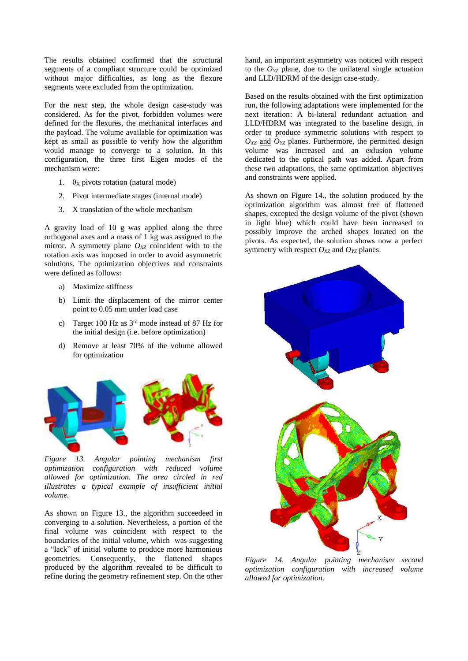The results obtained confirmed that the structural segments of a compliant structure could be optimized without major difficulties, as long as the flexure segments were excluded from the optimization.

For the next step, the whole design case-study was considered. As for the pivot, forbidden volumes were defined for the flexures, the mechanical interfaces and the payload. The volume available for optimization was kept as small as possible to verify how the algorithm would manage to converge to a solution. In this configuration, the three first Eigen modes of the mechanism were:

- 1.  $\theta_X$  pivots rotation (natural mode)
- 2. Pivot intermediate stages (internal mode)
- 3. X translation of the whole mechanism

A gravity load of 10 g was applied along the three orthogonal axes and a mass of 1 kg was assigned to the mirror. A symmetry plane  $O_{XZ}$  coincident with to the rotation axis was imposed in order to avoid asymmetric solutions. The optimization objectives and constraints were defined as follows:

- a) Maximize stiffness
- b) Limit the displacement of the mirror center point to 0.05 mm under load case
- c) Target 100 Hz as 3rd mode instead of 87 Hz for the initial design (i.e. before optimization)
- d) Remove at least 70% of the volume allowed for optimization



*Figure 13. Angular pointing mechanism first optimization configuration with reduced volume allowed for optimization. The area circled in red illustrates a typical example of insufficient initial volume.*

As shown on Figure 13., the algorithm succeedeed in converging to a solution. Nevertheless, a portion of the final volume was coincident with respect to the boundaries of the initial volume, which was suggesting a "lack" of initial volume to produce more harmonious geometries. Consequently, the flattened shapes produced by the algorithm revealed to be difficult to refine during the geometry refinement step. On the other hand, an important asymmetry was noticed with respect to the  $O_{YZ}$  plane, due to the unilateral single actuation and LLD/HDRM of the design case-study.

Based on the results obtained with the first optimization run, the following adaptations were implemented for the next iteration: A bi-lateral redundant actuation and LLD/HDRM was integrated to the baseline design, in order to produce symmetric solutions with respect to  $O_{XZ}$  and  $O_{YZ}$  planes. Furthermore, the permitted design volume was increased and an exlusion volume dedicated to the optical path was added. Apart from these two adaptations, the same optimization objectives and constraints were applied.

As shown on Figure 14., the solution produced by the optimization algorithm was almost free of flattened shapes, excepted the design volume of the pivot (shown in light blue) which could have been increased to possibly improve the arched shapes located on the pivots. As expected, the solution shows now a perfect symmetry with respect  $O_{XZ}$  and  $O_{YZ}$  planes.



*Figure 14. Angular pointing mechanism second optimization configuration with increased volume allowed for optimization.*